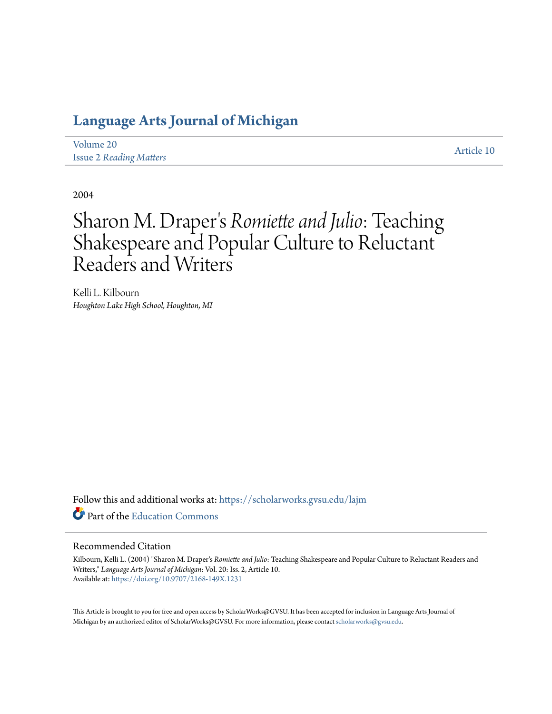# **[Language Arts Journal of Michigan](https://scholarworks.gvsu.edu/lajm?utm_source=scholarworks.gvsu.edu%2Flajm%2Fvol20%2Fiss2%2F10&utm_medium=PDF&utm_campaign=PDFCoverPages)**

| Volume 20                      |  |  |
|--------------------------------|--|--|
| <b>Issue 2 Reading Matters</b> |  |  |

[Article 10](https://scholarworks.gvsu.edu/lajm/vol20/iss2/10?utm_source=scholarworks.gvsu.edu%2Flajm%2Fvol20%2Fiss2%2F10&utm_medium=PDF&utm_campaign=PDFCoverPages)

2004

# Sharon M. Draper ' s *Romiette and Julio*: Teaching Shakespeare and Popular Culture to Reluctant Readers and Writers

Kelli L. Kilbourn *Houghton Lake High School, Houghton, MI*

Follow this and additional works at: [https://scholarworks.gvsu.edu/lajm](https://scholarworks.gvsu.edu/lajm?utm_source=scholarworks.gvsu.edu%2Flajm%2Fvol20%2Fiss2%2F10&utm_medium=PDF&utm_campaign=PDFCoverPages) Part of the [Education Commons](http://network.bepress.com/hgg/discipline/784?utm_source=scholarworks.gvsu.edu%2Flajm%2Fvol20%2Fiss2%2F10&utm_medium=PDF&utm_campaign=PDFCoverPages)

#### Recommended Citation

Kilbourn, Kelli L. (2004) "Sharon M. Draper's *Romiette and Julio*: Teaching Shakespeare and Popular Culture to Reluctant Readers and Writers," *Language Arts Journal of Michigan*: Vol. 20: Iss. 2, Article 10. Available at: <https://doi.org/10.9707/2168-149X.1231>

This Article is brought to you for free and open access by ScholarWorks@GVSU. It has been accepted for inclusion in Language Arts Journal of Michigan by an authorized editor of ScholarWorks@GVSU. For more information, please contact [scholarworks@gvsu.edu.](mailto:scholarworks@gvsu.edu)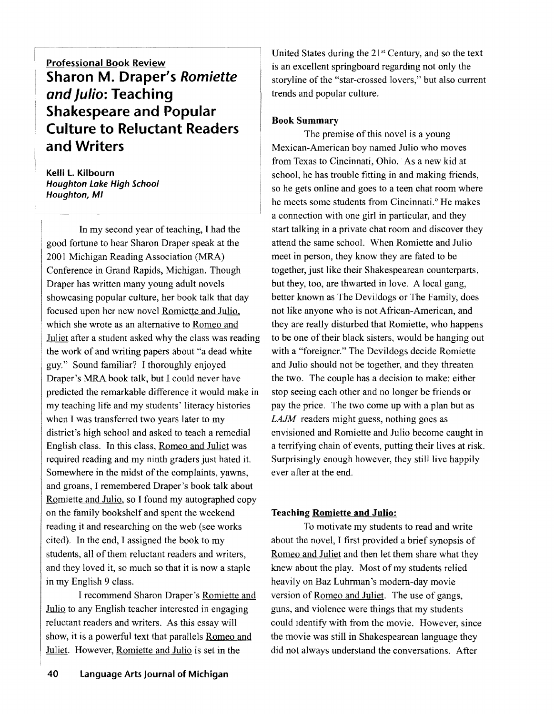**Professional Book Review Sharon M. Draper's** *Romiette*  **and Julio: Teaching Shakespeare and Popular Culture to Reluctant Readers and Writers** 

**Kelli L. Kilbourn Houghton Lake High School Houghton, MI** 

In my second year of teaching, I had the good fortune to hear Sharon Draper speak at the 2001 Michigan Reading Association (MRA) Conference in Grand Rapids, Michigan. Though Draper has written many young adult novels showcasing popular culture, her book talk that day focused upon her new novel Romiette and Julio. which she wrote as an alternative to Romeo and Juliet after a student asked why the class was reading the work of and writing papers about "a dead white guy." Sound familiar? I thoroughly enjoyed Draper's MRA book talk, but I could never have predicted the remarkable difference it would make in my teaching life and my students' literacy histories when I was transferred two years later to my district's high school and asked to teach a remedial English class. In this class, Romeo and Juliet was required reading and my ninth graders just hated it. Somewhere in the midst of the complaints, yawns, and groans, I remembered Draper's book talk about Romiette and Julio, so I found my autographed copy on the family bookshelf and spent the weekend reading it and researching on the web (see works cited). In the end, 1 assigned the book to my students, all of them reluctant readers and writers, and they loved it, so much so that it is now a staple in my English 9 class.

I recommend Sharon Draper's Romiette and Julio to any English teacher interested in engaging reluctant readers and writers. As this essay will show, it is a powerful text that parallels Romeo and Juliet. However, Romiette and Julio is set in the

United States during the  $21<sup>st</sup>$  Century, and so the text is an excellent springboard regarding not only the storyline of the "star-crossed lovers," but also current trends and popular culture.

## **Book Summary**

The premise of this novel is a young Mexican-American boy named Julio who moves from Texas to Cincinnati, Ohio. As a new kid at school, he has trouble fitting in and making friends, so he gets online and goes to a teen chat room where he meets some students from Cincinnati.<sup>o</sup> He makes a connection with one girl in particular, and they start talking in a private chat room and discover they attend the same school. When Romiette and Julio meet in person, they know they are fated to be together, just like their Shakespearean counterparts, but they, too, are thwarted in love. A local gang, better known as The Devildogs or The Family, does not like anyone who is not African-American, and they are really disturbed that Romiette, who happens to be one of their black sisters, would be hanging out with a "foreigner." The Devildogs decide Romiette and Julio should not be together, and they threaten the two. The couple has a decision to make: either stop seeing each other and no longer be friends or pay the price. The two come up with a plan but as *LAJM* readers might guess, nothing goes as envisioned and Romiette and Julio become caught in a terrifying chain of events, putting their lives at risk. Surprisingly enough however, they still live happily ever after at the end.

#### **Teaching Romiette and Julio:**

To motivate my students to read and write about the novel, 1 first provided a brief synopsis of Romeo and Juliet and then let them share what they knew about the play. Most of my students relied heavily on Baz Luhrman's modem-day movie version of Romeo and Juliet. The use of gangs, guns, and violence were things that my students could identify with from the movie. However, since the movie was still in Shakespearean language they did not always understand the conversations. After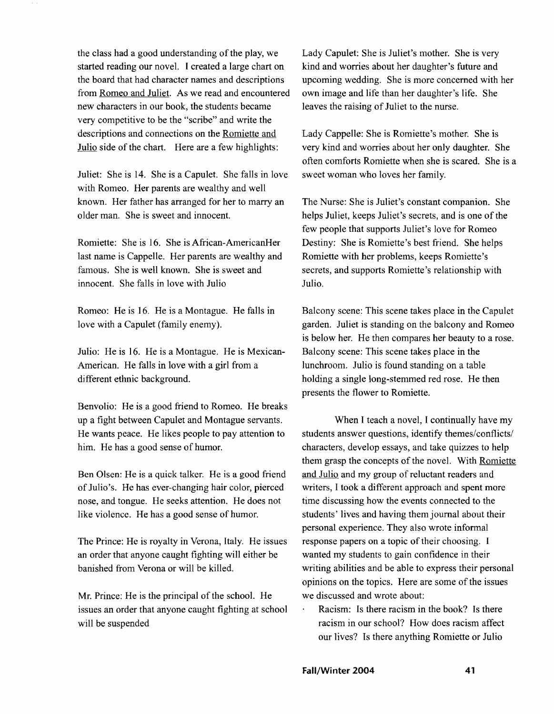the class had a good understanding of the play, we started reading our novel. I created a large chart on the board that had character names and descriptions from Romeo and Juliet. As we read and encountered new characters in our book, the students became very competitive to be the "scribe" and write the descriptions and connections on the Romiette and Julio side of the chart. Here are a few highlights:

Juliet: She is 14. She is a Capulet. She falls in love with Romeo. Her parents are wealthy and well known. Her father has arranged for her to marry an older man. She is sweet and innocent.

Romiette: She is 16. She is African-AmericanHer last name is Cappelle. Her parents are wealthy and famous. She is well known. She is sweet and innocent. She falls in love with Julio

Romeo: He is 16. He is a Montague. He falls in love with a Capulet (family enemy).

Julio: He is 16. He is a Montague. He is Mexican-American. He falls in love with a girl from a different ethnic background.

Benvolio: He is a good friend to Romeo. He breaks up a fight between Capulet and Montague servants. He wants peace. He likes people to pay attention to him. He has a good sense of humor.

Ben Olsen: He is a quick talker. He is a good friend of Julio's. He has ever-changing hair color, pierced nose, and tongue. He seeks attention. He does not like violence. He has a good sense of humor.

The Prince: He is royalty in Verona, Italy. He issues an order that anyone caught fighting will either be banished from Verona or will be killed.

Mr. Prince: He is the principal of the school. He issues an order that anyone caught fighting at school will be suspended

Lady Capulet: She is Juliet's mother. She is very kind and worries about her daughter's future and upcoming wedding. She is more concerned with her own image and life than her daughter's life. She leaves the raising of Juliet to the nurse.

Lady Cappelle: She is Romiette's mother. She is very kind and worries about her only daughter. She often comforts Romiette when she is scared. She is a sweet woman who loves her family.

The Nurse: She is Juliet's constant companion. She helps Juliet, keeps Juliet's secrets, and is one of the few people that supports Juliet's love for Romeo Destiny: She is Romiette's best friend. She helps Romiette with her problems, keeps Romiette's secrets, and supports Romiette's relationship with Julio.

Balcony scene: This scene takes place in the Capulet garden. Juliet is standing on the balcony and Romeo is below her. He then compares her beauty to a rose. Balcony scene: This scene takes place in the lunchroom. Julio is found standing on a table holding a single long-stemmed red rose. He then presents the flower to Romiette.

When I teach a novel, I continually have my students answer questions, identify themes/conflicts/ characters, develop essays, and take quizzes to help them grasp the concepts of the novel. With Romiette and Julio and my group of reluctant readers and writers, I took a different approach and spent more time discussing how the events connected to the students' lives and having them journal about their personal experience. They also wrote informal response papers on a topic of their choosing. I wanted my students to gain confidence in their writing abilities and be able to express their personal opinions on the topics. Here are some of the issues we discussed and wrote about:

Racism: Is there racism in the book? Is there racism in our school? How does racism affect our lives? Is there anything Romiette or Julio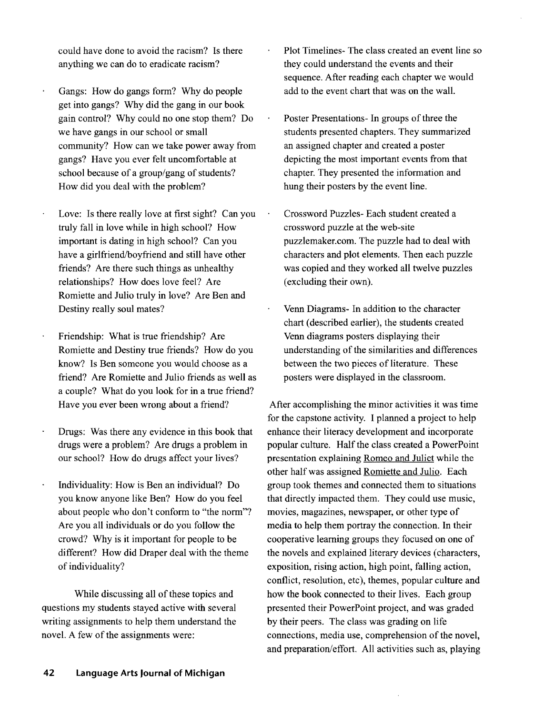could have done to avoid the racism? Is there anything we can do to eradicate racism?

- Gangs: How do gangs form? Why do people get into gangs? Why did the gang in our book gain control? Why could no one stop them? Do we have gangs in our school or small community? How can we take power away from gangs? Have you ever felt uncomfortable at school because of a group/gang of students? How did you deal with the problem?
- Love: Is there really love at first sight? Can you truly fall in love while in high school? How important is dating in high school? Can you have a girlfriend/boyfriend and still have other friends? Are there such things as unhealthy relationships? How does love feel? Are Romiette and Julio truly in love? Are Ben and Destiny really soul mates?
- Friendship: What is true friendship? Are Romiette and Destiny true friends? How do you know? Is Ben someone you would choose as a friend? Are Romiette and Julio friends as well as a couple? What do you look for in a true friend? Have you ever been wrong about a friend?
- Drugs: Was there any evidence in this book that drugs were a problem? Are drugs a problem in our school? How do drugs affect your lives?
- Individuality: How is Ben an individual? Do you know anyone like Ben? How do you feel about people who don't conform to "the norm"? Are you all individuals or do you follow the crowd? Why is it important for people to be different? How did Draper deal with the theme of individuality?

While discussing all of these topics and questions my students stayed active with several writing assignments to help them understand the novel. A few of the assignments were:

- Plot Timelines- The class created an event line so they could understand the events and their sequence. After reading each chapter we would add to the event chart that was on the wall.
- Poster Presentations- In groups of three the students presented chapters. They summarized an assigned chapter and created a poster depicting the most important events from that chapter. They presented the information and hung their posters by the event line.
- Crossword Puzzles- Each student created a crossword puzzle at the web-site puzzlemaker.com. The puzzle had to deal with characters and plot elements. Then each puzzle was copied and they worked all twelve puzzles (excluding their own).
- Venn Diagrams- In addition to the character chart (described earlier), the students created Venn diagrams posters displaying their understanding of the similarities and differences between the two pieces of literature. These posters were displayed in the classroom.

After accomplishing the minor activities it was time for the capstone activity. I planned a project to help enhance their literacy development and incorporate popular culture. Half the class created a PowerPoint presentation explaining Romeo and Juliet while the other half was assigned Romiette and Julio. Each group took themes and connected them to situations that directly impacted them. They could use music, movies, magazines, newspaper, or other type of media to help them portray the connection. In their cooperative learning groups they focused on one of the novels and explained literary devices (characters, exposition, rising action, high point, falling action, conflict, resolution, etc), themes, popular culture and how the book connected to their lives. Each group presented their PowerPoint project, and was graded by their peers. The class was grading on life connections, media use, comprehension of the novel, and preparation/effort. All activities such as, playing